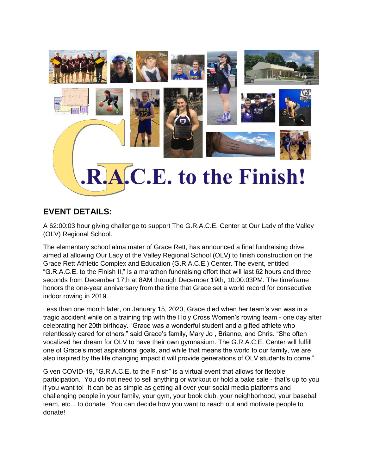

## **EVENT DETAILS:**

A 62:00:03 hour giving challenge to support The G.R.A.C.E. Center at Our Lady of the Valley (OLV) Regional School.

The elementary school alma mater of Grace Rett, has announced a final fundraising drive aimed at allowing Our Lady of the Valley Regional School (OLV) to finish construction on the Grace Rett Athletic Complex and Education (G.R.A.C.E.) Center. The event, entitled "G.R.A.C.E. to the Finish II," is a marathon fundraising effort that will last 62 hours and three seconds from December 17th at 8AM through December 19th, 10:00:03PM. The timeframe honors the one-year anniversary from the time that Grace set a world record for consecutive indoor rowing in 2019.

Less than one month later, on January 15, 2020, Grace died when her team's van was in a tragic accident while on a training trip with the Holy Cross Women's rowing team - one day after celebrating her 20th birthday. "Grace was a wonderful student and a gifted athlete who relentlessly cared for others," said Grace's family, Mary Jo , Brianne, and Chris. "She often vocalized her dream for OLV to have their own gymnasium. The G.R.A.C.E. Center will fulfill one of Grace's most aspirational goals, and while that means the world to our family, we are also inspired by the life changing impact it will provide generations of OLV students to come."

Given COVID-19, "G.R.A.C.E. to the Finish" is a virtual event that allows for flexible participation. You do not need to sell anything or workout or hold a bake sale - that's up to you if you want to! It can be as simple as getting all over your social media platforms and challenging people in your family, your gym, your book club, your neighborhood, your baseball team, etc.., to donate. You can decide how you want to reach out and motivate people to donate!